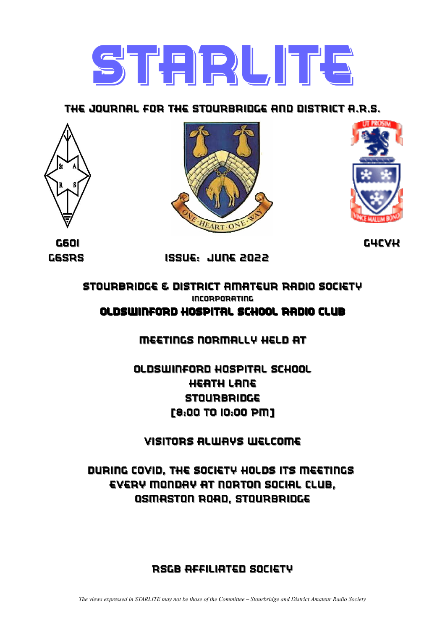

### The Journal for the Stourbridge and district a.r.s.







G6oi g4cvk

g6srs issue: june 2022

stourbridge & district amateur radio society incorporating OldSwinford Hospital School Radio Club

meetings Normally held at

oldswinford hospital school heath lane **STOURBRIDGE** [8:00 to 10:00 pm]

visitors always welcome

during covid, The society holds its meetings Every Monday at norton social club, osmaston road, stourbridge

### rsgb affiliated society

*The views expressed in STARLITE may not be those of the Committee – Stourbridge and District Amateur Radio Society*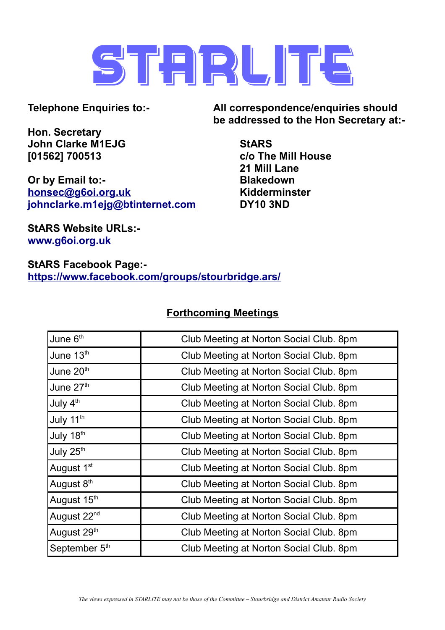

**Hon. Secretary John Clarke M1EJG StARS [01562] 700513 c/o The Mill House**

**Or by Email to:- Blakedown [honsec@g6oi.org.uk](mailto:honsec@g6oi.org.uk) Kidderminster [johnclarke.m1ejg@btinternet.com](mailto:johnclarke.m1ejg@btinternet.com) DY10 3ND**

**Telephone Enquiries to:- All correspondence/enquiries should be addressed to the Hon Secretary at:-**

**21 Mill Lane**

**StARS Website URLs: [www.g6oi.org.uk](http://www.g6oi.org.uk/)**

**StARS Facebook Page: <https://www.facebook.com/groups/stourbridge.ars/>**

### **Forthcoming Meetings**

| June 6th                | Club Meeting at Norton Social Club. 8pm |  |
|-------------------------|-----------------------------------------|--|
| June 13th               | Club Meeting at Norton Social Club. 8pm |  |
| June 20th               | Club Meeting at Norton Social Club. 8pm |  |
| June 27th               | Club Meeting at Norton Social Club. 8pm |  |
| July 4th                | Club Meeting at Norton Social Club. 8pm |  |
| July 11 <sup>th</sup>   | Club Meeting at Norton Social Club. 8pm |  |
| July 18th               | Club Meeting at Norton Social Club. 8pm |  |
| July 25th               | Club Meeting at Norton Social Club. 8pm |  |
| August 1 <sup>st</sup>  | Club Meeting at Norton Social Club. 8pm |  |
| August 8 <sup>th</sup>  | Club Meeting at Norton Social Club. 8pm |  |
| August 15th             | Club Meeting at Norton Social Club. 8pm |  |
| August 22 <sup>nd</sup> | Club Meeting at Norton Social Club. 8pm |  |
| August 29th             | Club Meeting at Norton Social Club. 8pm |  |
| September 5th           | Club Meeting at Norton Social Club. 8pm |  |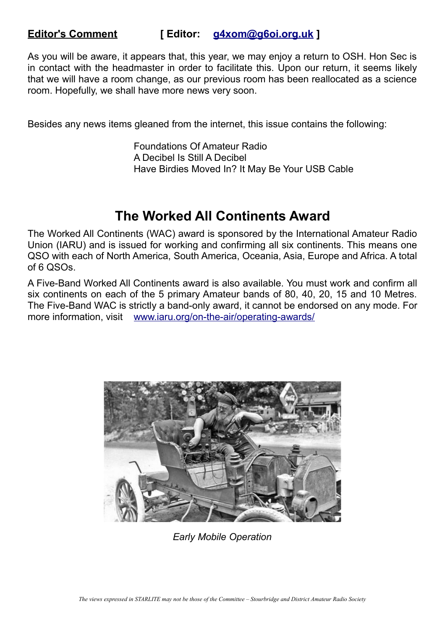### **Editor's Comment [ Editor: [g4xom@g6oi.org.uk](mailto:g4xom@g6oi.org.uk) ]**

As you will be aware, it appears that, this year, we may enjoy a return to OSH. Hon Sec is in contact with the headmaster in order to facilitate this. Upon our return, it seems likely that we will have a room change, as our previous room has been reallocated as a science room. Hopefully, we shall have more news very soon.

Besides any news items gleaned from the internet, this issue contains the following:

Foundations Of Amateur Radio A Decibel Is Still A Decibel Have Birdies Moved In? It May Be Your USB Cable

### **The Worked All Continents Award**

The Worked All Continents (WAC) award is sponsored by the International Amateur Radio Union (IARU) and is issued for working and confirming all six continents. This means one QSO with each of North America, South America, Oceania, Asia, Europe and Africa. A total of 6 QSOs.

A Five-Band Worked All Continents award is also available. You must work and confirm all six continents on each of the 5 primary Amateur bands of 80, 40, 20, 15 and 10 Metres. The Five-Band WAC is strictly a band-only award, it cannot be endorsed on any mode. For more information, visit [www.iaru.org/on-the-air/operating-awards/](http://www.iaru.org/on-the-air/operating-awards/)



*Early Mobile Operation*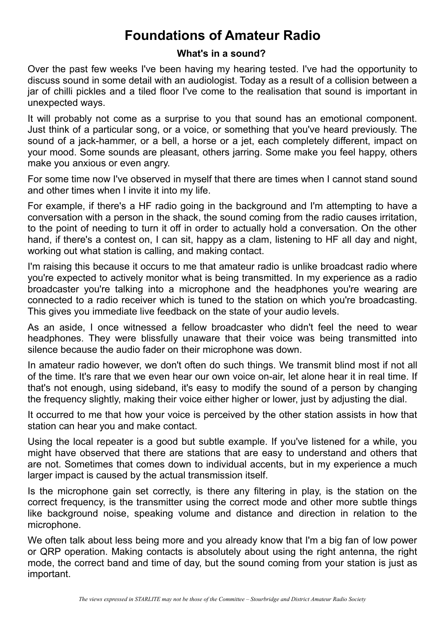# **Foundations of Amateur Radio**

#### **What's in a sound?**

Over the past few weeks I've been having my hearing tested. I've had the opportunity to discuss sound in some detail with an audiologist. Today as a result of a collision between a jar of chilli pickles and a tiled floor I've come to the realisation that sound is important in unexpected ways.

It will probably not come as a surprise to you that sound has an emotional component. Just think of a particular song, or a voice, or something that you've heard previously. The sound of a jack-hammer, or a bell, a horse or a jet, each completely different, impact on your mood. Some sounds are pleasant, others jarring. Some make you feel happy, others make you anxious or even angry.

For some time now I've observed in myself that there are times when I cannot stand sound and other times when I invite it into my life.

For example, if there's a HF radio going in the background and I'm attempting to have a conversation with a person in the shack, the sound coming from the radio causes irritation, to the point of needing to turn it off in order to actually hold a conversation. On the other hand, if there's a contest on, I can sit, happy as a clam, listening to HF all day and night, working out what station is calling, and making contact.

I'm raising this because it occurs to me that amateur radio is unlike broadcast radio where you're expected to actively monitor what is being transmitted. In my experience as a radio broadcaster you're talking into a microphone and the headphones you're wearing are connected to a radio receiver which is tuned to the station on which you're broadcasting. This gives you immediate live feedback on the state of your audio levels.

As an aside, I once witnessed a fellow broadcaster who didn't feel the need to wear headphones. They were blissfully unaware that their voice was being transmitted into silence because the audio fader on their microphone was down.

In amateur radio however, we don't often do such things. We transmit blind most if not all of the time. It's rare that we even hear our own voice on-air, let alone hear it in real time. If that's not enough, using sideband, it's easy to modify the sound of a person by changing the frequency slightly, making their voice either higher or lower, just by adjusting the dial.

It occurred to me that how your voice is perceived by the other station assists in how that station can hear you and make contact.

Using the local repeater is a good but subtle example. If you've listened for a while, you might have observed that there are stations that are easy to understand and others that are not. Sometimes that comes down to individual accents, but in my experience a much larger impact is caused by the actual transmission itself.

Is the microphone gain set correctly, is there any filtering in play, is the station on the correct frequency, is the transmitter using the correct mode and other more subtle things like background noise, speaking volume and distance and direction in relation to the microphone.

We often talk about less being more and you already know that I'm a big fan of low power or QRP operation. Making contacts is absolutely about using the right antenna, the right mode, the correct band and time of day, but the sound coming from your station is just as important.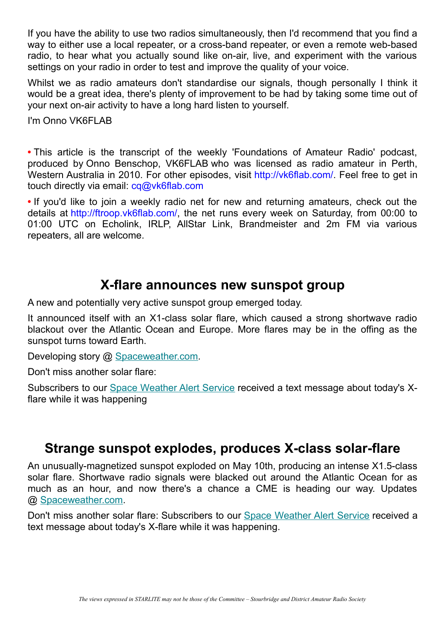If you have the ability to use two radios simultaneously, then I'd recommend that you find a way to either use a local repeater, or a cross-band repeater, or even a remote web-based radio, to hear what you actually sound like on-air, live, and experiment with the various settings on your radio in order to test and improve the quality of your voice.

Whilst we as radio amateurs don't standardise our signals, though personally I think it would be a great idea, there's plenty of improvement to be had by taking some time out of your next on-air activity to have a long hard listen to yourself.

I'm Onno VK6FLAB

**•** This article is the transcript of the weekly 'Foundations of Amateur Radio' podcast, produced by Onno Benschop, VK6FLAB who was licensed as radio amateur in Perth, Western Australia in 2010. For other episodes, visit [http://vk6flab.com/.](http://vk6flab.com/) Feel free to get in touch directly via email: [cq@vk6flab.com](mailto:cq@vk6flab.com)

**•** If you'd like to join a weekly radio net for new and returning amateurs, check out the details at [http://ftroop.vk6flab.com/,](http://ftroop.vk6flab.com/) the net runs every week on Saturday, from 00:00 to 01:00 UTC on Echolink, IRLP, AllStar Link, Brandmeister and 2m FM via various repeaters, all are welcome.

### **X-flare announces new sunspot group**

A new and potentially very active sunspot group emerged today.

It announced itself with an X1-class solar flare, which caused a strong shortwave radio blackout over the Atlantic Ocean and Europe. More flares may be in the offing as the sunspot turns toward Earth.

Developing story @ [Spaceweather.com.](https://spaceweather.us11.list-manage.com/track/click?u=0c5fce34d5ca05f64a13d085d&id=37bf413390&e=f98eeb7cd6)

Don't miss another solar flare:

Subscribers to our [Space Weather Alert Service](https://spaceweather.us11.list-manage.com/track/click?u=0c5fce34d5ca05f64a13d085d&id=4f7a5c6e2d&e=f98eeb7cd6) received a text message about today's Xflare while it was happening

### **Strange sunspot explodes, produces X-class solar-flare**

An unusually-magnetized sunspot exploded on May 10th, producing an intense X1.5-class solar flare. Shortwave radio signals were blacked out around the Atlantic Ocean for as much as an hour, and now there's a chance a CME is heading our way. Updates @ [Spaceweather.com.](https://spaceweather.us11.list-manage.com/track/click?u=0c5fce34d5ca05f64a13d085d&id=4b197a3b26&e=f98eeb7cd6)

Don't miss another solar flare: Subscribers to our [Space Weather Alert Service](https://spaceweather.us11.list-manage.com/track/click?u=0c5fce34d5ca05f64a13d085d&id=f26d3ae35b&e=f98eeb7cd6) received a text message about today's X-flare while it was happening.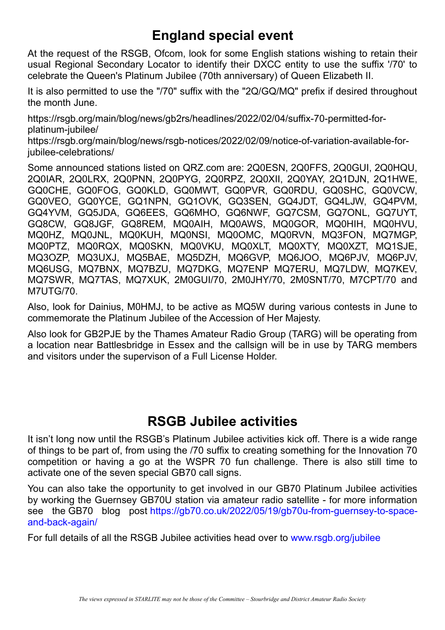# **England special event**

At the request of the RSGB, Ofcom, look for some English stations wishing to retain their usual Regional Secondary Locator to identify their DXCC entity to use the suffix '/70' to celebrate the Queen's Platinum Jubilee (70th anniversary) of Queen Elizabeth II.

It is also permitted to use the "/70" suffix with the "2Q/GQ/MQ" prefix if desired throughout the month June.

https://rsgb.org/main/blog/news/gb2rs/headlines/2022/02/04/suffix-70-permitted-forplatinum-jubilee/

https://rsgb.org/main/blog/news/rsgb-notices/2022/02/09/notice-of-variation-available-foriubilee-celebrations/

Some announced stations listed on QRZ.com are: 2Q0ESN, 2Q0FFS, 2Q0GUI, 2Q0HQU, 2Q0IAR, 2Q0LRX, 2Q0PNN, 2Q0PYG, 2Q0RPZ, 2Q0XII, 2Q0YAY, 2Q1DJN, 2Q1HWE, GQ0CHE, GQ0FOG, GQ0KLD, GQ0MWT, GQ0PVR, GQ0RDU, GQ0SHC, GQ0VCW, GQ0VEO, GQ0YCE, GQ1NPN, GQ1OVK, GQ3SEN, GQ4JDT, GQ4LJW, GQ4PVM, GQ4YVM, GQ5JDA, GQ6EES, GQ6MHO, GQ6NWF, GQ7CSM, GQ7ONL, GQ7UYT, GQ8CW, GQ8JGF, GQ8REM, MQ0AIH, MQ0AWS, MQ0GOR, MQ0HIH, MQ0HVU, MQ0HZ, MQ0JNL, MQ0KUH, MQ0NSI, MQ0OMC, MQ0RVN, MQ3FON, MQ7MGP, MQ0PTZ, MQ0RQX, MQ0SKN, MQ0VKU, MQ0XLT, MQ0XTY, MQ0XZT, MQ1SJE, MQ3OZP, MQ3UXJ, MQ5BAE, MQ5DZH, MQ6GVP, MQ6JOO, MQ6PJV, MQ6PJV, MQ6USG, MQ7BNX, MQ7BZU, MQ7DKG, MQ7ENP MQ7ERU, MQ7LDW, MQ7KEV, MQ7SWR, MQ7TAS, MQ7XUK, 2M0GUI/70, 2M0JHY/70, 2M0SNT/70, M7CPT/70 and M7UTG/70.

Also, look for Dainius, M0HMJ, to be active as MQ5W during various contests in June to commemorate the Platinum Jubilee of the Accession of Her Majesty.

Also look for GB2PJE by the Thames Amateur Radio Group (TARG) will be operating from a location near Battlesbridge in Essex and the callsign will be in use by TARG members and visitors under the supervison of a Full License Holder.

### **RSGB Jubilee activities**

It isn't long now until the RSGB's Platinum Jubilee activities kick off. There is a wide range of things to be part of, from using the /70 suffix to creating something for the Innovation 70 competition or having a go at the WSPR 70 fun challenge. There is also still time to activate one of the seven special GB70 call signs.

You can also take the opportunity to get involved in our GB70 Platinum Jubilee activities by working the Guernsey GB70U station via amateur radio satellite - for more information see the GB70 blog post [https://gb70.co.uk/2022/05/19/gb70u-from-guernsey-to-space](https://gb70.co.uk/2022/05/19/gb70u-from-guernsey-to-space-and-back-again/)[and-back-again/](https://gb70.co.uk/2022/05/19/gb70u-from-guernsey-to-space-and-back-again/)

For full details of all the RSGB Jubilee activities head over to [www.rsgb.org/jubilee](http://www.rsgb.org/jubilee)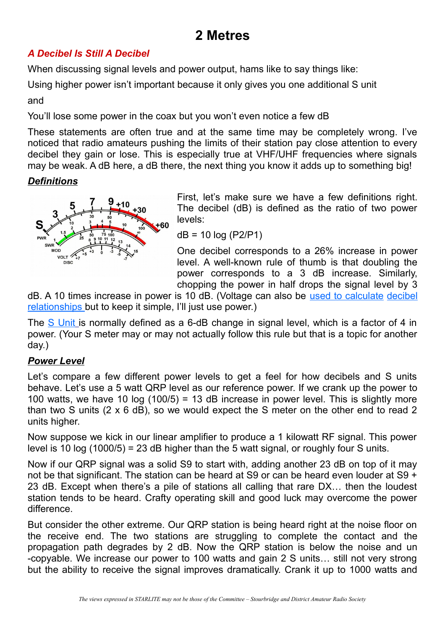# **2 Metres**

### *A Decibel Is Still A Decibel*

When discussing signal levels and power output, hams like to say things like:

Using higher power isn't important because it only gives you one additional S unit

and

You'll lose some power in the coax but you won't even notice a few dB

These statements are often true and at the same time may be completely wrong. I've noticed that radio amateurs pushing the limits of their station pay close attention to every decibel they gain or lose. This is especially true at VHF/UHF frequencies where signals may be weak. A dB here, a dB there, the next thing you know it adds up to something big!

### *Definitions*



First, let's make sure we have a few definitions right. The decibel (dB) is defined as the ratio of two power levels:

dB = 10 log (P2/P1)

One decibel corresponds to a 26% increase in power level. A well-known rule of thumb is that doubling the power corresponds to a 3 dB increase. Similarly, chopping the power in half drops the signal level by 3

dB. A 10 times increase in power is 10 dB. (Voltage can also be [used to calculate](https://www.edn.com/decibels-use-with-caution/) [decibel](https://www.edn.com/decibels-use-with-caution/)  [relationships](https://www.edn.com/decibels-use-with-caution/) but to keep it simple, I'll just use power.)

The [S Unit](https://en.wikipedia.org/wiki/S_meter) is normally defined as a 6-dB change in signal level, which is a factor of 4 in power. (Your S meter may or may not actually follow this rule but that is a topic for another day.)

### *Power Level*

Let's compare a few different power levels to get a feel for how decibels and S units behave. Let's use a 5 watt QRP level as our reference power. If we crank up the power to 100 watts, we have 10 log  $(100/5)$  = 13 dB increase in power level. This is slightly more than two S units (2 x 6 dB), so we would expect the S meter on the other end to read 2 units higher.

Now suppose we kick in our linear amplifier to produce a 1 kilowatt RF signal. This power level is 10 log  $(1000/5) = 23$  dB higher than the 5 watt signal, or roughly four S units.

Now if our QRP signal was a solid S9 to start with, adding another 23 dB on top of it may not be that significant. The station can be heard at S9 or can be heard even louder at S9 + 23 dB. Except when there's a pile of stations all calling that rare DX… then the loudest station tends to be heard. Crafty operating skill and good luck may overcome the power difference.

But consider the other extreme. Our QRP station is being heard right at the noise floor on the receive end. The two stations are struggling to complete the contact and the propagation path degrades by 2 dB. Now the QRP station is below the noise and un -copyable. We increase our power to 100 watts and gain 2 S units… still not very strong but the ability to receive the signal improves dramatically. Crank it up to 1000 watts and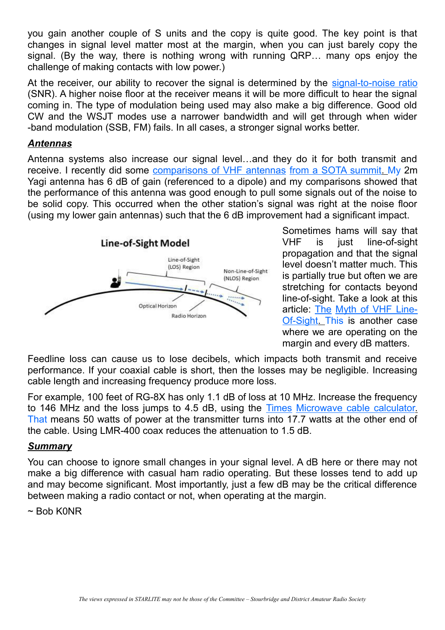you gain another couple of S units and the copy is quite good. The key point is that changes in signal level matter most at the margin, when you can just barely copy the signal. (By the way, there is nothing wrong with running QRP… many ops enjoy the challenge of making contacts with low power.)

At the receiver, our ability to recover the signal is determined by the [signal-to-noise ratio](https://en.wikipedia.org/wiki/Signal-to-noise_ratio) (SNR). A higher noise floor at the receiver means it will be more difficult to hear the signal coming in. The type of modulation being used may also make a big difference. Good old CW and the WSJT modes use a narrower bandwidth and will get through when wider -band modulation (SSB, FM) fails. In all cases, a stronger signal works better.

#### *Antennas*

Antenna systems also increase our signal level…and they do it for both transmit and receive. I recently did some [comparisons of VHF antennas from a SOTA summit. M](https://www.k0nr.com/wordpress/2021/05/vhf-sota-antenna-tests/)y 2m Yagi antenna has 6 dB of gain (referenced to a dipole) and my comparisons showed that the performance of this antenna was good enough to pull some signals out of the noise to be solid copy. This occurred when the other station's signal was right at the noise floor (using my lower gain antennas) such that the 6 dB improvement had a significant impact.



Sometimes hams will say that VHF is just line-of-sight propagation and that the signal level doesn't matter much. This is partially true but often we are stretching for contacts beyond line-of-sight. Take a look at this article: [The](https://www.k0nr.com/wordpress/2019/02/the-myth-of-vhf-line-of-sight/) [Myth of VHF Line-](https://www.k0nr.com/wordpress/2019/02/the-myth-of-vhf-line-of-sight/)  [Of-Sight. T](https://www.k0nr.com/wordpress/2019/02/the-myth-of-vhf-line-of-sight/)his is another case where we are operating on the margin and every dB matters.

Feedline loss can cause us to lose decibels, which impacts both transmit and receive performance. If your coaxial cable is short, then the losses may be negligible. Increasing cable length and increasing frequency produce more loss.

For example, 100 feet of RG-8X has only 1.1 dB of loss at 10 MHz. Increase the frequency to 146 MHz and the loss jumps to 4.5 dB, using the [Times Microwave cable calculator.](https://timesmicrowave.com/Calculator/Embed) That means 50 watts of power at the transmitter turns into 17.7 watts at the other end of the cable. Using LMR-400 coax reduces the attenuation to 1.5 dB.

#### *Summary*

You can choose to ignore small changes in your signal level. A dB here or there may not make a big difference with casual ham radio operating. But these losses tend to add up and may become significant. Most importantly, just a few dB may be the critical difference between making a radio contact or not, when operating at the margin.

#### $\sim$  Bob K0NR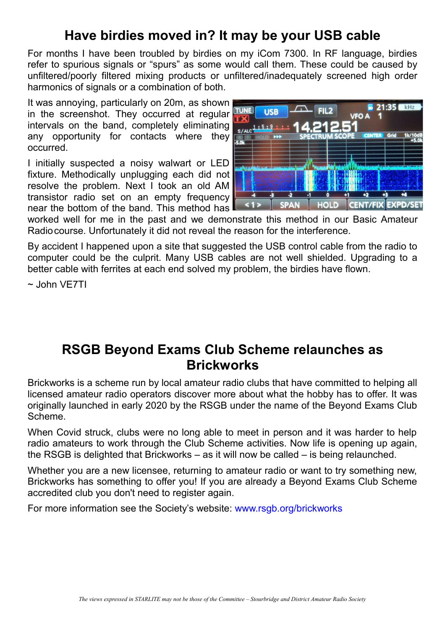# **Have birdies moved in? It may be your USB cable**

For months I have been troubled by birdies on my iCom 7300. In RF language, birdies refer to spurious signals or "spurs" as some would call them. These could be caused by unfiltered/poorly filtered mixing products or unfiltered/inadequately screened high order harmonics of signals or a combination of both.

It was annoying, particularly on 20m, as shown in the screenshot. They occurred at regular intervals on the band, completely eliminating any opportunity for contacts where they occurred.

I initially suspected a noisy walwart or LED fixture. Methodically unplugging each did not resolve the problem. Next I took an old AM transistor radio set on an empty frequency near the bottom of the band. This method has



worked well for me in the past and we demonstrate this method in our Basic Amateur Radiocourse. Unfortunately it did not reveal the reason for the interference.

By accident I happened upon a site that suggested the USB control cable from the radio to computer could be the culprit. Many USB cables are not well shielded. Upgrading to a better cable with ferrites at each end solved my problem, the birdies have flown.

~ John VE7TI

### **RSGB Beyond Exams Club Scheme relaunches as Brickworks**

Brickworks is a scheme run by local amateur radio clubs that have committed to helping all licensed amateur radio operators discover more about what the hobby has to offer. It was originally launched in early 2020 by the RSGB under the name of the Beyond Exams Club Scheme.

When Covid struck, clubs were no long able to meet in person and it was harder to help radio amateurs to work through the Club Scheme activities. Now life is opening up again, the RSGB is delighted that Brickworks – as it will now be called – is being relaunched.

Whether you are a new licensee, returning to amateur radio or want to try something new, Brickworks has something to offer you! If you are already a Beyond Exams Club Scheme accredited club you don't need to register again.

For more information see the Society's website: [www.rsgb.org/brickworks](http://www.rsgb.org/brickworks)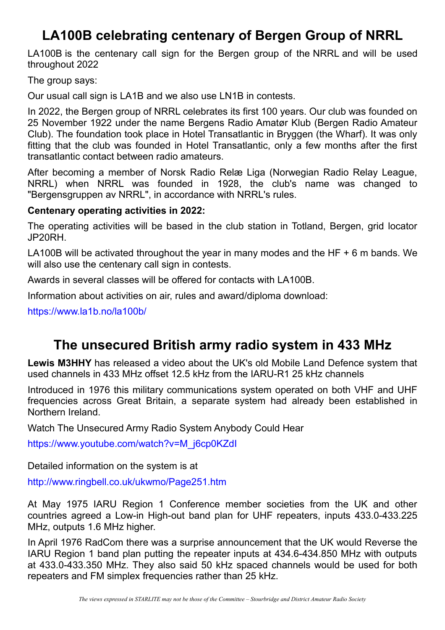# **LA100B celebrating centenary of Bergen Group of NRRL**

LA100B is the centenary call sign for the Bergen group of the NRRL and will be used throughout 2022

The group says:

Our usual call sign is LA1B and we also use LN1B in contests.

In 2022, the Bergen group of NRRL celebrates its first 100 years. Our club was founded on 25 November 1922 under the name Bergens Radio Amatør Klub (Bergen Radio Amateur Club). The foundation took place in Hotel Transatlantic in Bryggen (the Wharf). It was only fitting that the club was founded in Hotel Transatlantic, only a few months after the first transatlantic contact between radio amateurs.

After becoming a member of Norsk Radio Relæ Liga (Norwegian Radio Relay League, NRRL) when NRRL was founded in 1928, the club's name was changed to "Bergensgruppen av NRRL", in accordance with NRRL's rules.

### **Centenary operating activities in 2022:**

The operating activities will be based in the club station in Totland, Bergen, grid locator JP20RH.

LA100B will be activated throughout the year in many modes and the HF  $+$  6 m bands. We will also use the centenary call sign in contests.

Awards in several classes will be offered for contacts with LA100B.

Information about activities on air, rules and award/diploma download:

<https://www.la1b.no/la100b/>

### **The unsecured British army radio system in 433 MHz**

**Lewis M3HHY** has released a video about the UK's old Mobile Land Defence system that used channels in 433 MHz offset 12.5 kHz from the IARU-R1 25 kHz channels

Introduced in 1976 this military communications system operated on both VHF and UHF frequencies across Great Britain, a separate system had already been established in Northern Ireland.

Watch The Unsecured Army Radio System Anybody Could Hear

[https://www.youtube.com/watch?v=M\\_j6cp0KZdI](https://www.youtube.com/watch?v=M_j6cp0KZdI)

Detailed information on the system is at

<http://www.ringbell.co.uk/ukwmo/Page251.htm>

At May 1975 IARU Region 1 Conference member societies from the UK and other countries agreed a Low-in High-out band plan for UHF repeaters, inputs 433.0-433.225 MHz, outputs 1.6 MHz higher.

In April 1976 RadCom there was a surprise announcement that the UK would Reverse the IARU Region 1 band plan putting the repeater inputs at 434.6-434.850 MHz with outputs at 433.0-433.350 MHz. They also said 50 kHz spaced channels would be used for both repeaters and FM simplex frequencies rather than 25 kHz.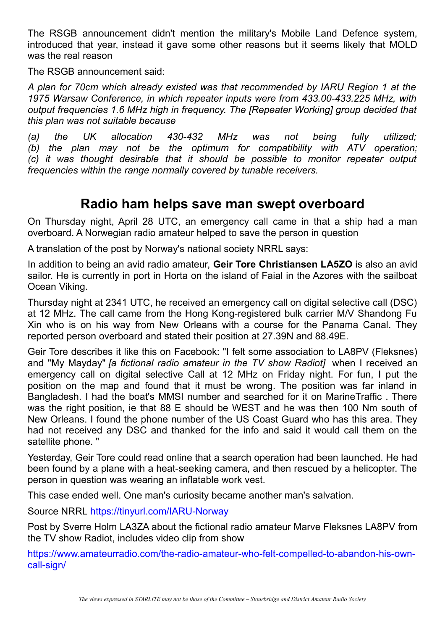The RSGB announcement didn't mention the military's Mobile Land Defence system, introduced that year, instead it gave some other reasons but it seems likely that MOLD was the real reason

The RSGB announcement said:

*A plan for 70cm which already existed was that recommended by IARU Region 1 at the 1975 Warsaw Conference, in which repeater inputs were from 433.00-433.225 MHz, with output frequencies 1.6 MHz high in frequency. The [Repeater Working] group decided that this plan was not suitable because*

*(a) the UK allocation 430-432 MHz was not being fully utilized; (b) the plan may not be the optimum for compatibility with ATV operation; (c) it was thought desirable that it should be possible to monitor repeater output frequencies within the range normally covered by tunable receivers.*

### **Radio ham helps save man swept overboard**

On Thursday night, April 28 UTC, an emergency call came in that a ship had a man overboard. A Norwegian radio amateur helped to save the person in question

A translation of the post by Norway's national society NRRL says:

In addition to being an avid radio amateur, **Geir Tore Christiansen LA5ZO** is also an avid sailor. He is currently in port in Horta on the island of Faial in the Azores with the sailboat Ocean Viking.

Thursday night at 2341 UTC, he received an emergency call on digital selective call (DSC) at 12 MHz. The call came from the Hong Kong-registered bulk carrier M/V Shandong Fu Xin who is on his way from New Orleans with a course for the Panama Canal. They reported person overboard and stated their position at 27.39N and 88.49E.

Geir Tore describes it like this on Facebook: "I felt some association to LA8PV (Fleksnes) and "My Mayday" *[a fictional radio amateur in the TV show Radiot]* when I received an emergency call on digital selective Call at 12 MHz on Friday night. For fun, I put the position on the map and found that it must be wrong. The position was far inland in Bangladesh. I had the boat's MMSI number and searched for it on MarineTraffic . There was the right position, ie that 88 E should be WEST and he was then 100 Nm south of New Orleans. I found the phone number of the US Coast Guard who has this area. They had not received any DSC and thanked for the info and said it would call them on the satellite phone. "

Yesterday, Geir Tore could read online that a search operation had been launched. He had been found by a plane with a heat-seeking camera, and then rescued by a helicopter. The person in question was wearing an inflatable work vest.

This case ended well. One man's curiosity became another man's salvation.

Source NRRL <https://tinyurl.com/IARU-Norway>

Post by Sverre Holm LA3ZA about the fictional radio amateur Marve Fleksnes LA8PV from the TV show Radiot, includes video clip from show

[https://www.amateurradio.com/the-radio-amateur-who-felt-compelled-to-abandon-his-own](https://www.amateurradio.com/the-radio-amateur-who-felt-compelled-to-abandon-his-own-call-sign/)[call-sign/](https://www.amateurradio.com/the-radio-amateur-who-felt-compelled-to-abandon-his-own-call-sign/)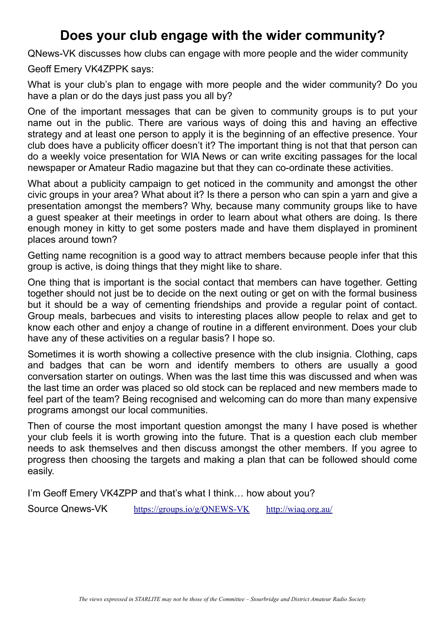## **Does your club engage with the wider community?**

QNews-VK discusses how clubs can engage with more people and the wider community

Geoff Emery VK4ZPPK says:

What is your club's plan to engage with more people and the wider community? Do you have a plan or do the days just pass you all by?

One of the important messages that can be given to community groups is to put your name out in the public. There are various ways of doing this and having an effective strategy and at least one person to apply it is the beginning of an effective presence. Your club does have a publicity officer doesn't it? The important thing is not that that person can do a weekly voice presentation for WIA News or can write exciting passages for the local newspaper or Amateur Radio magazine but that they can co-ordinate these activities.

What about a publicity campaign to get noticed in the community and amongst the other civic groups in your area? What about it? Is there a person who can spin a yarn and give a presentation amongst the members? Why, because many community groups like to have a guest speaker at their meetings in order to learn about what others are doing. Is there enough money in kitty to get some posters made and have them displayed in prominent places around town?

Getting name recognition is a good way to attract members because people infer that this group is active, is doing things that they might like to share.

One thing that is important is the social contact that members can have together. Getting together should not just be to decide on the next outing or get on with the formal business but it should be a way of cementing friendships and provide a regular point of contact. Group meals, barbecues and visits to interesting places allow people to relax and get to know each other and enjoy a change of routine in a different environment. Does your club have any of these activities on a regular basis? I hope so.

Sometimes it is worth showing a collective presence with the club insignia. Clothing, caps and badges that can be worn and identify members to others are usually a good conversation starter on outings. When was the last time this was discussed and when was the last time an order was placed so old stock can be replaced and new members made to feel part of the team? Being recognised and welcoming can do more than many expensive programs amongst our local communities.

Then of course the most important question amongst the many I have posed is whether your club feels it is worth growing into the future. That is a question each club member needs to ask themselves and then discuss amongst the other members. If you agree to progress then choosing the targets and making a plan that can be followed should come easily.

I'm Geoff Emery VK4ZPP and that's what I think… how about you?

Source Qnews-VK <https://groups.io/g/QNEWS-VK> <http://wiaq.org.au/>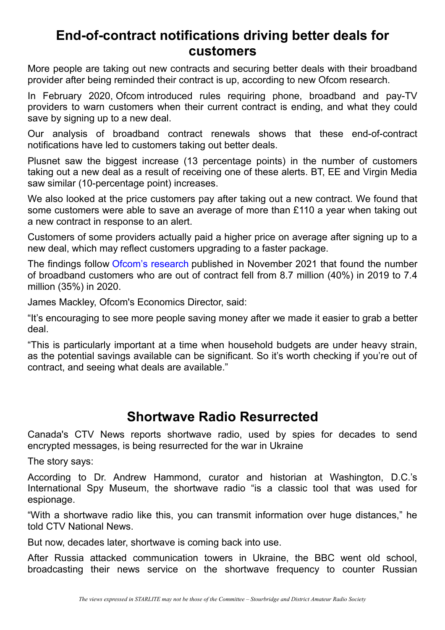### **End-of-contract notifications driving better deals for customers**

More people are taking out new contracts and securing better deals with their broadband provider after being reminded their contract is up, according to new Ofcom research.

In February 2020, Ofcom introduced rules requiring phone, broadband and pay-TV providers to warn customers when their current contract is ending, and what they could save by signing up to a new deal.

Our analysis of broadband contract renewals shows that these end-of-contract notifications have led to customers taking out better deals.

Plusnet saw the biggest increase (13 percentage points) in the number of customers taking out a new deal as a result of receiving one of these alerts. BT, EE and Virgin Media saw similar (10-percentage point) increases.

We also looked at the price customers pay after taking out a new contract. We found that some customers were able to save an average of more than £110 a year when taking out a new contract in response to an alert.

Customers of some providers actually paid a higher price on average after signing up to a new deal, which may reflect customers upgrading to a faster package.

The findings follow [Ofcom's research](https://ofcom.cmail20.com/t/i-l-cuhihjy-wklhtkyut-t/) published in November 2021 that found the number of broadband customers who are out of contract fell from 8.7 million (40%) in 2019 to 7.4 million (35%) in 2020.

James Mackley, Ofcom's Economics Director, said:

"It's encouraging to see more people saving money after we made it easier to grab a better deal.

"This is particularly important at a time when household budgets are under heavy strain, as the potential savings available can be significant. So it's worth checking if you're out of contract, and seeing what deals are available."

### **Shortwave Radio Resurrected**

Canada's CTV News reports shortwave radio, used by spies for decades to send encrypted messages, is being resurrected for the war in Ukraine

The story says:

According to Dr. Andrew Hammond, curator and historian at Washington, D.C.'s International Spy Museum, the shortwave radio "is a classic tool that was used for espionage.

"With a shortwave radio like this, you can transmit information over huge distances," he told CTV National News.

But now, decades later, shortwave is coming back into use.

After Russia attacked communication towers in Ukraine, the BBC went old school, broadcasting their news service on the shortwave frequency to counter Russian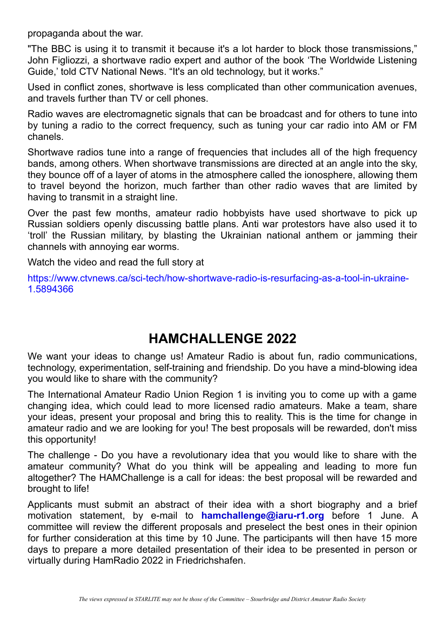propaganda about the war.

"The BBC is using it to transmit it because it's a lot harder to block those transmissions," John Figliozzi, a shortwave radio expert and author of the book 'The Worldwide Listening Guide,' told CTV National News. "It's an old technology, but it works."

Used in conflict zones, shortwave is less complicated than other communication avenues, and travels further than TV or cell phones.

Radio waves are electromagnetic signals that can be broadcast and for others to tune into by tuning a radio to the correct frequency, such as tuning your car radio into AM or FM chanels.

Shortwave radios tune into a range of frequencies that includes all of the high frequency bands, among others. When shortwave transmissions are directed at an angle into the sky, they bounce off of a layer of atoms in the atmosphere called the ionosphere, allowing them to travel beyond the horizon, much farther than other radio waves that are limited by having to transmit in a straight line.

Over the past few months, amateur radio hobbyists have used shortwave to pick up Russian soldiers openly discussing battle plans. Anti war protestors have also used it to 'troll' the Russian military, by blasting the Ukrainian national anthem or jamming their channels with annoying ear worms.

Watch the video and read the full story at

[https://www.ctvnews.ca/sci-tech/how-shortwave-radio-is-resurfacing-as-a-tool-in-ukraine-](https://www.ctvnews.ca/sci-tech/how-shortwave-radio-is-resurfacing-as-a-tool-in-ukraine-1.5894366)[1.5894366](https://www.ctvnews.ca/sci-tech/how-shortwave-radio-is-resurfacing-as-a-tool-in-ukraine-1.5894366)

### **HAMCHALLENGE 2022**

We want your ideas to change us! Amateur Radio is about fun, radio communications, technology, experimentation, self-training and friendship. Do you have a mind-blowing idea you would like to share with the community?

The International Amateur Radio Union Region 1 is inviting you to come up with a game changing idea, which could lead to more licensed radio amateurs. Make a team, share your ideas, present your proposal and bring this to reality. This is the time for change in amateur radio and we are looking for you! The best proposals will be rewarded, don't miss this opportunity!

The challenge - Do you have a revolutionary idea that you would like to share with the amateur community? What do you think will be appealing and leading to more fun altogether? The HAMChallenge is a call for ideas: the best proposal will be rewarded and brought to life!

Applicants must submit an abstract of their idea with a short biography and a brief motivation statement, by e-mail to **hamchallenge@iaru-r1.org** before 1 June. A committee will review the different proposals and preselect the best ones in their opinion for further consideration at this time by 10 June. The participants will then have 15 more days to prepare a more detailed presentation of their idea to be presented in person or virtually during HamRadio 2022 in Friedrichshafen.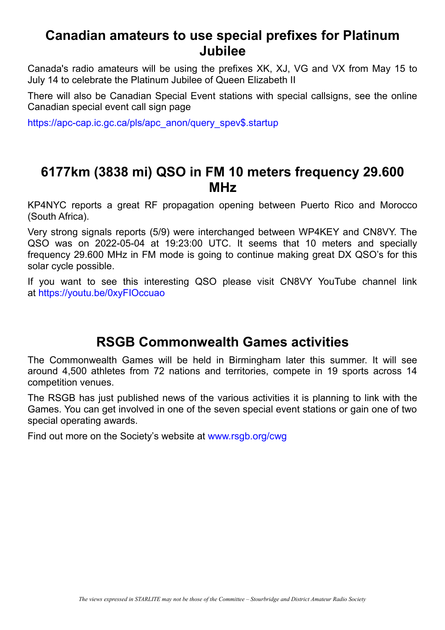### **Canadian amateurs to use special prefixes for Platinum Jubilee**

Canada's radio amateurs will be using the prefixes XK, XJ, VG and VX from May 15 to July 14 to celebrate the Platinum Jubilee of Queen Elizabeth II

There will also be Canadian Special Event stations with special callsigns, see the online Canadian special event call sign page

[https://apc-cap.ic.gc.ca/pls/apc\\_anon/query\\_spev\\$.startup](https://apc-cap.ic.gc.ca/pls/apc_anon/query_spev$.startup)

### **6177km (3838 mi) QSO in FM 10 meters frequency 29.600 MHz**

KP4NYC reports a great RF propagation opening between Puerto Rico and Morocco (South Africa).

Very strong signals reports (5/9) were interchanged between WP4KEY and CN8VY. The QSO was on 2022-05-04 at 19:23:00 UTC. It seems that 10 meters and specially frequency 29.600 MHz in FM mode is going to continue making great DX QSO's for this solar cycle possible.

If you want to see this interesting QSO please visit CN8VY YouTube channel link at <https://youtu.be/0xyFIOccuao>

### **RSGB Commonwealth Games activities**

The Commonwealth Games will be held in Birmingham later this summer. It will see around 4,500 athletes from 72 nations and territories, compete in 19 sports across 14 competition venues.

The RSGB has just published news of the various activities it is planning to link with the Games. You can get involved in one of the seven special event stations or gain one of two special operating awards.

Find out more on the Society's website at [www.rsgb.org/cwg](http://www.rsgb.org/cwg)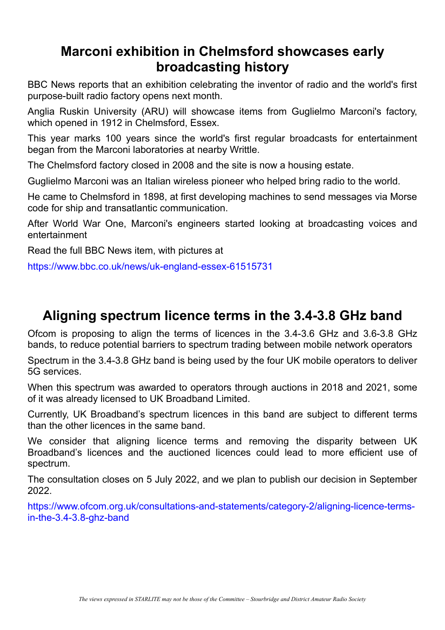### **Marconi exhibition in Chelmsford showcases early broadcasting history**

BBC News reports that an exhibition celebrating the inventor of radio and the world's first purpose-built radio factory opens next month.

Anglia Ruskin University (ARU) will showcase items from Guglielmo Marconi's factory, which opened in 1912 in Chelmsford, Essex.

This year marks 100 years since the world's first regular broadcasts for entertainment began from the Marconi laboratories at nearby Writtle.

The Chelmsford factory closed in 2008 and the site is now a housing estate.

Guglielmo Marconi was an Italian wireless pioneer who helped bring radio to the world.

He came to Chelmsford in 1898, at first developing machines to send messages via Morse code for ship and transatlantic communication.

After World War One, Marconi's engineers started looking at broadcasting voices and entertainment

Read the full BBC News item, with pictures at

<https://www.bbc.co.uk/news/uk-england-essex-61515731>

### **Aligning spectrum licence terms in the 3.4-3.8 GHz band**

Ofcom is proposing to align the terms of licences in the 3.4-3.6 GHz and 3.6-3.8 GHz bands, to reduce potential barriers to spectrum trading between mobile network operators

Spectrum in the 3.4-3.8 GHz band is being used by the four UK mobile operators to deliver 5G services.

When this spectrum was awarded to operators through auctions in 2018 and 2021, some of it was already licensed to UK Broadband Limited.

Currently, UK Broadband's spectrum licences in this band are subject to different terms than the other licences in the same band.

We consider that aligning licence terms and removing the disparity between UK Broadband's licences and the auctioned licences could lead to more efficient use of spectrum.

The consultation closes on 5 July 2022, and we plan to publish our decision in September 2022.

[https://www.ofcom.org.uk/consultations-and-statements/category-2/aligning-licence-terms](https://www.ofcom.org.uk/consultations-and-statements/category-2/aligning-licence-terms-in-the-3.4-3.8-ghz-band)[in-the-3.4-3.8-ghz-band](https://www.ofcom.org.uk/consultations-and-statements/category-2/aligning-licence-terms-in-the-3.4-3.8-ghz-band)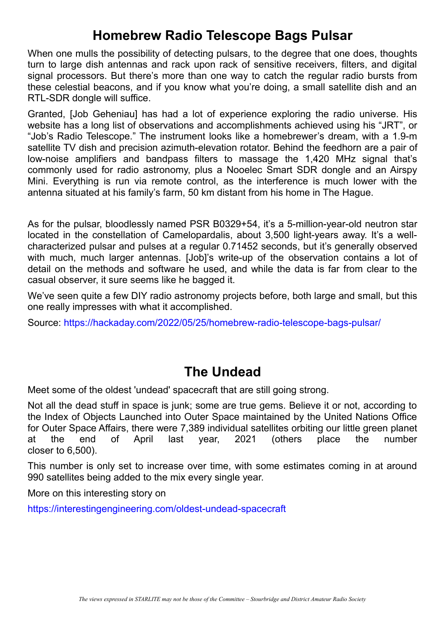# **Homebrew Radio Telescope Bags Pulsar**

When one mulls the possibility of detecting pulsars, to the degree that one does, thoughts turn to large dish antennas and rack upon rack of sensitive receivers, filters, and digital signal processors. But there's more than one way to catch the regular radio bursts from these celestial beacons, and if you know what you're doing, a small satellite dish and an RTL-SDR dongle will suffice.

Granted, [Job Geheniau] has had a lot of experience exploring the radio universe. His website has a long list of observations and accomplishments achieved using his "JRT", or "Job's Radio Telescope." The instrument looks like a homebrewer's dream, with a 1.9-m satellite TV dish and precision azimuth-elevation rotator. Behind the feedhorn are a pair of low-noise amplifiers and bandpass filters to massage the 1,420 MHz signal that's commonly used for radio astronomy, plus a Nooelec Smart SDR dongle and an Airspy Mini. Everything is run via remote control, as the interference is much lower with the antenna situated at his family's farm, 50 km distant from his home in The Hague.

As for the pulsar, bloodlessly named PSR B0329+54, it's a 5-million-year-old neutron star located in the constellation of Camelopardalis, about 3,500 light-years away. It's a wellcharacterized pulsar and pulses at a regular 0.71452 seconds, but it's generally observed with much, much larger antennas. [Job]'s write-up of the observation contains a lot of detail on the methods and software he used, and while the data is far from clear to the casual observer, it sure seems like he bagged it.

We've seen quite a few DIY radio astronomy projects before, both large and small, but this one really impresses with what it accomplished.

Source: <https://hackaday.com/2022/05/25/homebrew-radio-telescope-bags-pulsar/>

# **The Undead**

Meet some of the oldest 'undead' spacecraft that are still going strong.

Not all the dead stuff in space is junk; some are true gems. Believe it or not, according to the Index of Objects Launched into Outer Space maintained by the United Nations Office for Outer Space Affairs, there were 7,389 individual satellites orbiting our little green planet at the end of April last year, 2021 (others place the number closer to 6,500).

This number is only set to increase over time, with some estimates coming in at around 990 satellites being added to the mix every single year.

More on this interesting story on

<https://interestingengineering.com/oldest-undead-spacecraft>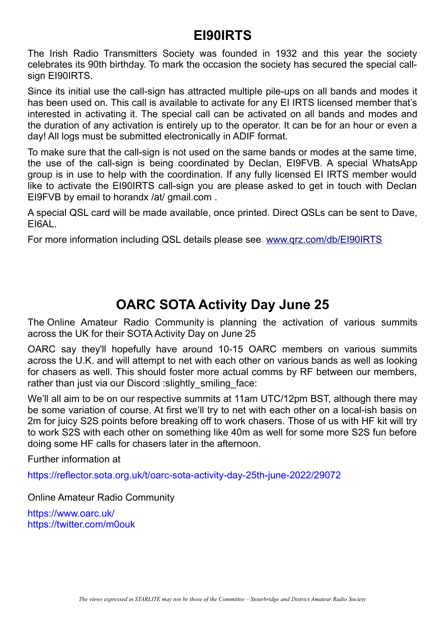## **EI90IRTS**

The Irish Radio Transmitters Society was founded in 1932 and this year the society celebrates its 90th birthday. To mark the occasion the society has secured the special callsign EI90IRTS.

Since its initial use the call-sign has attracted multiple pile-ups on all bands and modes it has been used on. This call is available to activate for any EI IRTS licensed member that's interested in activating it. The special call can be activated on all bands and modes and the duration of any activation is entirely up to the operator. It can be for an hour or even a day! All logs must be submitted electronically in ADIF format.

To make sure that the call-sign is not used on the same bands or modes at the same time, the use of the call-sign is being coordinated by Declan, EI9FVB. A special WhatsApp group is in use to help with the coordination. If any fully licensed EI IRTS member would like to activate the EI90IRTS call-sign you are please asked to get in touch with Declan EI9FVB by email to horandx /at/ gmail.com .

A special QSL card will be made available, once printed. Direct QSLs can be sent to Dave, EI6AL.

For more information including QSL details please see [www.qrz.com/db/EI90IRTS](http://www.qrz.com/db/EI90IRTS)

# **OARC SOTA Activity Day June 25**

The Online Amateur Radio Community is planning the activation of various summits across the UK for their SOTA Activity Day on June 25

OARC say they'll hopefully have around 10-15 OARC members on various summits across the U.K. and will attempt to net with each other on various bands as well as looking for chasers as well. This should foster more actual comms by RF between our members, rather than just via our Discord : slightly smiling face:

We'll all aim to be on our respective summits at 11am UTC/12pm BST, although there may be some variation of course. At first we'll try to net with each other on a local-ish basis on 2m for juicy S2S points before breaking off to work chasers. Those of us with HF kit will try to work S2S with each other on something like 40m as well for some more S2S fun before doing some HF calls for chasers later in the afternoon.

Further information at

<https://reflector.sota.org.uk/t/oarc-sota-activity-day-25th-june-2022/29072>

Online Amateur Radio Community

<https://www.oarc.uk/> <https://twitter.com/m0ouk>